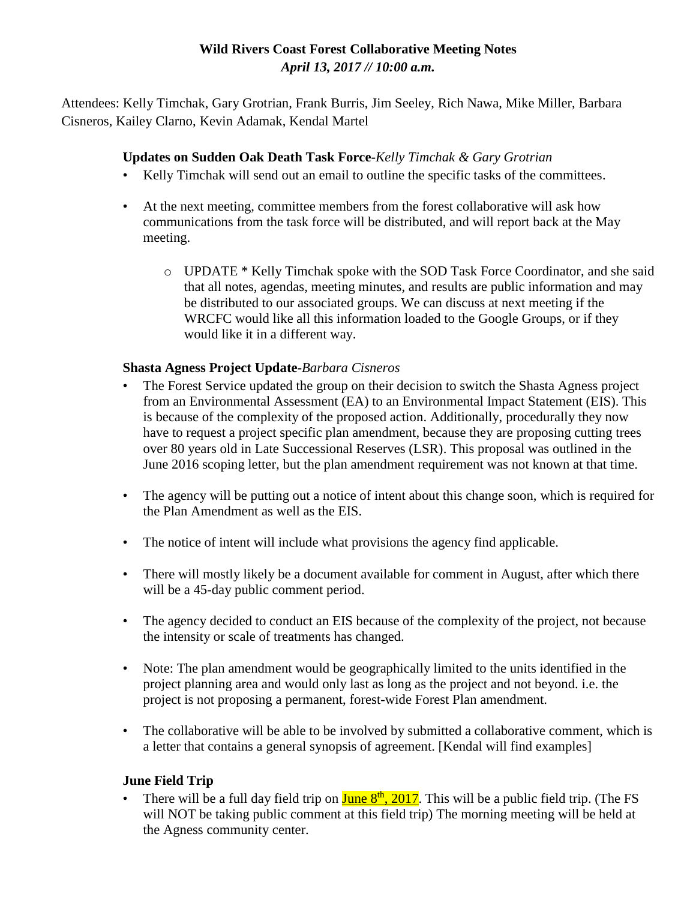# **Wild Rivers Coast Forest Collaborative Meeting Notes** *April 13, 2017 // 10:00 a.m.*

Attendees: Kelly Timchak, Gary Grotrian, Frank Burris, Jim Seeley, Rich Nawa, Mike Miller, Barbara Cisneros, Kailey Clarno, Kevin Adamak, Kendal Martel

### **Updates on Sudden Oak Death Task Force-***Kelly Timchak & Gary Grotrian*

- Kelly Timchak will send out an email to outline the specific tasks of the committees.
- At the next meeting, committee members from the forest collaborative will ask how communications from the task force will be distributed, and will report back at the May meeting.
	- o UPDATE \* Kelly Timchak spoke with the SOD Task Force Coordinator, and she said that all notes, agendas, meeting minutes, and results are public information and may be distributed to our associated groups. We can discuss at next meeting if the WRCFC would like all this information loaded to the Google Groups, or if they would like it in a different way.

### **Shasta Agness Project Update-***Barbara Cisneros*

- The Forest Service updated the group on their decision to switch the Shasta Agness project from an Environmental Assessment (EA) to an Environmental Impact Statement (EIS). This is because of the complexity of the proposed action. Additionally, procedurally they now have to request a project specific plan amendment, because they are proposing cutting trees over 80 years old in Late Successional Reserves (LSR). This proposal was outlined in the June 2016 scoping letter, but the plan amendment requirement was not known at that time.
- The agency will be putting out a notice of intent about this change soon, which is required for the Plan Amendment as well as the EIS.
- The notice of intent will include what provisions the agency find applicable.
- There will mostly likely be a document available for comment in August, after which there will be a 45-day public comment period.
- The agency decided to conduct an EIS because of the complexity of the project, not because the intensity or scale of treatments has changed.
- Note: The plan amendment would be geographically limited to the units identified in the project planning area and would only last as long as the project and not beyond. i.e. the project is not proposing a permanent, forest-wide Forest Plan amendment.
- The collaborative will be able to be involved by submitted a collaborative comment, which is a letter that contains a general synopsis of agreement. [Kendal will find examples]

### **June Field Trip**

• There will be a full day field trip on  $\frac{\text{June } 8^{\text{th}}$ , 2017. This will be a public field trip. (The FS will NOT be taking public comment at this field trip) The morning meeting will be held at the Agness community center.